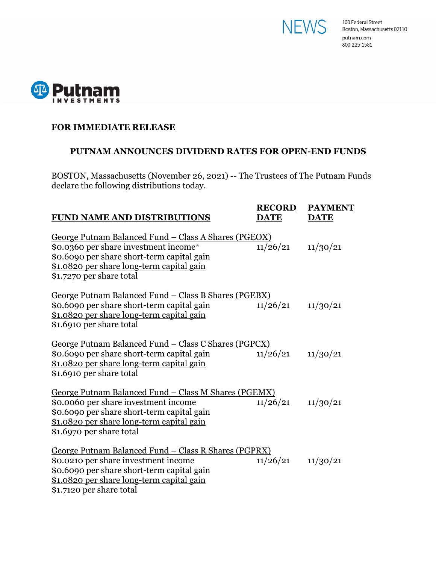



### **FOR IMMEDIATE RELEASE**

## **PUTNAM ANNOUNCES DIVIDEND RATES FOR OPEN-END FUNDS**

BOSTON, Massachusetts (November 26, 2021) -- The Trustees of The Putnam Funds declare the following distributions today.

| <b>FUND NAME AND DISTRIBUTIONS</b>                                                                                                                                                                                          | <b>RECORD</b><br><b>DATE</b> | <b>PAYMENT</b><br><b>DATE</b> |
|-----------------------------------------------------------------------------------------------------------------------------------------------------------------------------------------------------------------------------|------------------------------|-------------------------------|
| <u>George Putnam Balanced Fund – Class A Shares (PGEOX)</u><br>\$0.0360 per share investment income*<br>\$0.6090 per share short-term capital gain<br>\$1.0820 per share long-term capital gain<br>\$1.7270 per share total | 11/26/21                     | 11/30/21                      |
| <u>George Putnam Balanced Fund – Class B Shares (PGEBX)</u><br>\$0.6090 per share short-term capital gain<br>\$1.0820 per share long-term capital gain<br>\$1.6910 per share total                                          | 11/26/21                     | 11/30/21                      |
| George Putnam Balanced Fund - Class C Shares (PGPCX)<br>\$0.6090 per share short-term capital gain<br>\$1.0820 per share long-term capital gain<br>\$1.6910 per share total                                                 | 11/26/21                     | 11/30/21                      |
| George Putnam Balanced Fund - Class M Shares (PGEMX)<br>\$0.0060 per share investment income<br>\$0.6090 per share short-term capital gain<br>\$1.0820 per share long-term capital gain<br>\$1.6970 per share total         | 11/26/21                     | 11/30/21                      |
| <u> George Putnam Balanced Fund – Class R Shares (PGPRX)</u><br>\$0.0210 per share investment income<br>\$0.6090 per share short-term capital gain<br>\$1.0820 per share long-term capital gain<br>\$1.7120 per share total | 11/26/21                     | 11/30/21                      |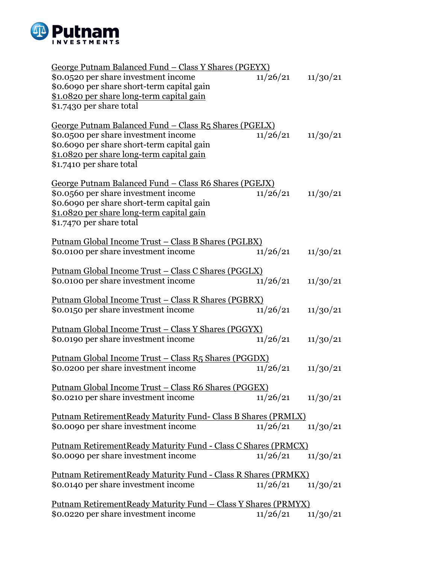

| George Putnam Balanced Fund – Class Y Shares (PGEYX)                  |          |          |
|-----------------------------------------------------------------------|----------|----------|
| \$0.0520 per share investment income                                  | 11/26/21 | 11/30/21 |
| \$0.6090 per share short-term capital gain                            |          |          |
| \$1.0820 per share long-term capital gain                             |          |          |
| \$1.7430 per share total                                              |          |          |
| <u> George Putnam Balanced Fund – Class R5 Shares (PGELX)</u>         |          |          |
| \$0.0500 per share investment income                                  | 11/26/21 | 11/30/21 |
| \$0.6090 per share short-term capital gain                            |          |          |
| \$1.0820 per share long-term capital gain                             |          |          |
| \$1.7410 per share total                                              |          |          |
| George Putnam Balanced Fund - Class R6 Shares (PGEJX)                 |          |          |
| \$0.0560 per share investment income                                  | 11/26/21 | 11/30/21 |
| \$0.6090 per share short-term capital gain                            |          |          |
| \$1.0820 per share long-term capital gain                             |          |          |
| \$1.7470 per share total                                              |          |          |
| <u> Putnam Global Income Trust – Class B Shares (PGLBX)</u>           |          |          |
| \$0.0100 per share investment income                                  | 11/26/21 | 11/30/21 |
| <u> Putnam Global Income Trust – Class C Shares (PGGLX)</u>           |          |          |
| \$0.0100 per share investment income                                  | 11/26/21 | 11/30/21 |
|                                                                       |          |          |
| <u> Putnam Global Income Trust – Class R Shares (PGBRX)</u>           |          |          |
| \$0.0150 per share investment income                                  | 11/26/21 | 11/30/21 |
| <u> Putnam Global Income Trust – Class Y Shares (PGGYX)</u>           |          |          |
| \$0.0190 per share investment income                                  | 11/26/21 | 11/30/21 |
|                                                                       |          |          |
| <u> Putnam Global Income Trust – Class R5 Shares (PGGDX)</u>          |          |          |
| \$0.0200 per share investment income                                  | 11/26/21 | 11/30/21 |
| <u> Putnam Global Income Trust – Class R6 Shares (PGGEX)</u>          |          |          |
| \$0.0210 per share investment income                                  | 11/26/21 | 11/30/21 |
|                                                                       |          |          |
| <b>Putnam RetirementReady Maturity Fund- Class B Shares (PRMLX)</b>   |          |          |
| \$0.0090 per share investment income                                  | 11/26/21 | 11/30/21 |
| <b>Putnam RetirementReady Maturity Fund - Class C Shares (PRMCX)</b>  |          |          |
| \$0.0090 per share investment income                                  | 11/26/21 | 11/30/21 |
|                                                                       |          |          |
| Putnam RetirementReady Maturity Fund - Class R Shares (PRMKX)         |          |          |
| \$0.0140 per share investment income                                  | 11/26/21 | 11/30/21 |
| <u> Putnam RetirementReady Maturity Fund – Class Y Shares (PRMYX)</u> |          |          |
| \$0.0220 per share investment income                                  | 11/26/21 | 11/30/21 |
|                                                                       |          |          |